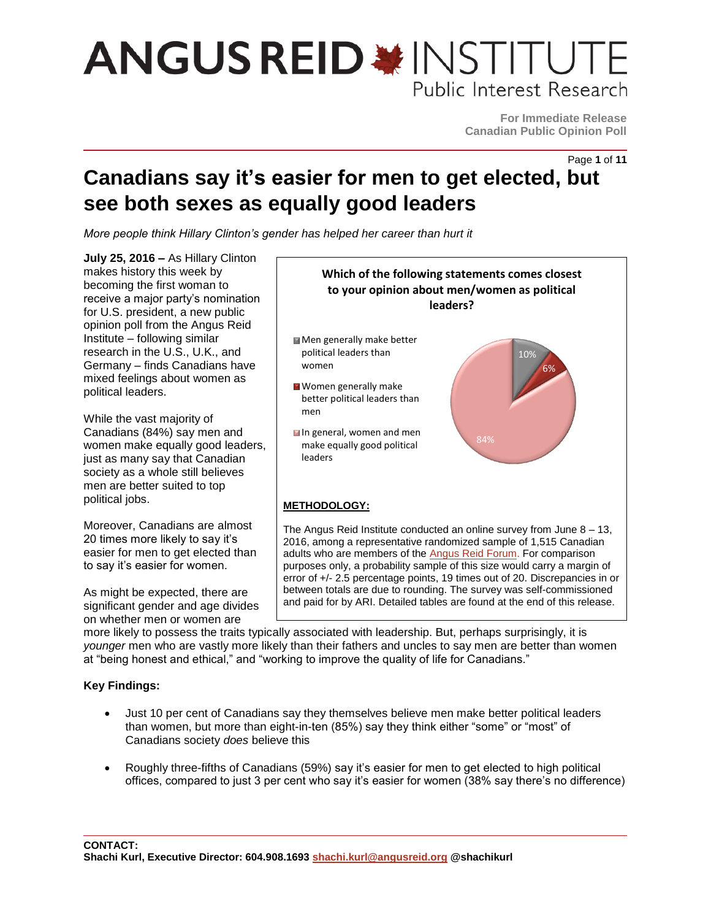**For Immediate Release Canadian Public Opinion Poll**

Page **1** of **11**

### **Canadians say it's easier for men to get elected, but see both sexes as equally good leaders**

*More people think Hillary Clinton's gender has helped her career than hurt it*

**July 25, 2016 –** As Hillary Clinton makes history this week by becoming the first woman to receive a major party's nomination for U.S. president, a new public opinion poll from the Angus Reid Institute – following similar research in the U.S., U.K., and Germany – finds Canadians have mixed feelings about women as political leaders.

While the vast majority of Canadians (84%) say men and women make equally good leaders, just as many say that Canadian society as a whole still believes men are better suited to top political jobs.

Moreover, Canadians are almost 20 times more likely to say it's easier for men to get elected than to say it's easier for women.

As might be expected, there are significant gender and age divides on whether men or women are



more likely to possess the traits typically associated with leadership. But, perhaps surprisingly, it is *younger* men who are vastly more likely than their fathers and uncles to say men are better than women at "being honest and ethical," and "working to improve the quality of life for Canadians."

### **Key Findings:**

- Just 10 per cent of Canadians say they themselves believe men make better political leaders than women, but more than eight-in-ten (85%) say they think either "some" or "most" of Canadians society *does* believe this
- Roughly three-fifths of Canadians (59%) say it's easier for men to get elected to high political offices, compared to just 3 per cent who say it's easier for women (38% say there's no difference)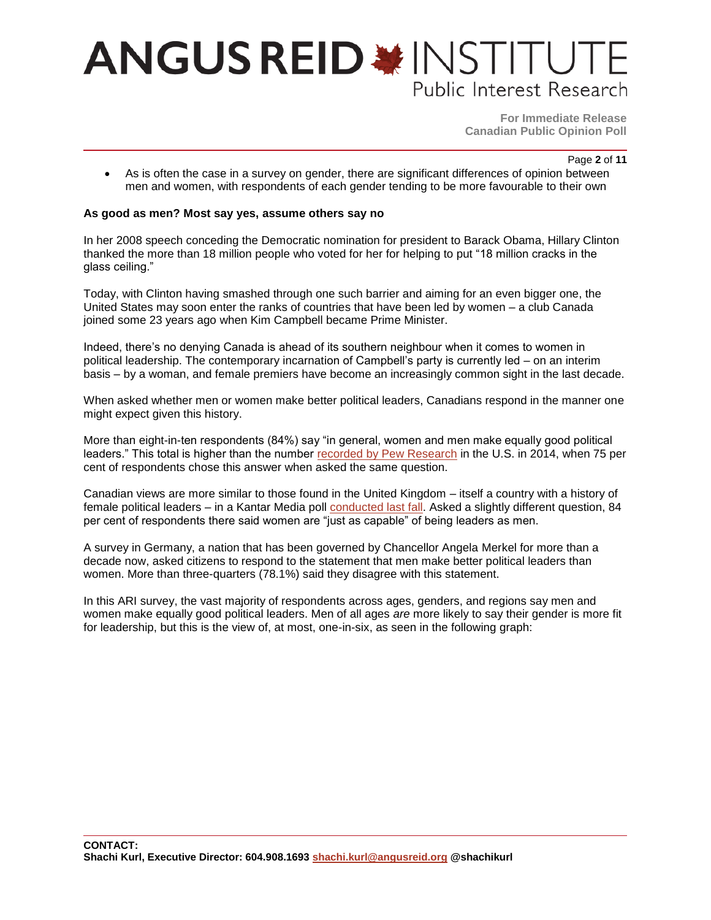**For Immediate Release Canadian Public Opinion Poll**

Page **2** of **11**

 As is often the case in a survey on gender, there are significant differences of opinion between men and women, with respondents of each gender tending to be more favourable to their own

#### **As good as men? Most say yes, assume others say no**

In her 2008 speech conceding the Democratic nomination for president to Barack Obama, Hillary Clinton thanked the more than 18 million people who voted for her for helping to put "18 million cracks in the glass ceiling."

Today, with Clinton having smashed through one such barrier and aiming for an even bigger one, the United States may soon enter the ranks of countries that have been led by women – a club Canada joined some 23 years ago when Kim Campbell became Prime Minister.

Indeed, there's no denying Canada is ahead of its southern neighbour when it comes to women in political leadership. The contemporary incarnation of Campbell's party is currently led – on an interim basis – by a woman, and female premiers have become an increasingly common sight in the last decade.

When asked whether men or women make better political leaders, Canadians respond in the manner one might expect given this history.

More than eight-in-ten respondents (84%) say "in general, women and men make equally good political leaders." This total is higher than the number [recorded by Pew Research](http://www.pewresearch.org/fact-tank/2016/05/19/americans-views-of-women-as-political-leaders-differ-by-gender/) in the U.S. in 2014, when 75 per cent of respondents chose this answer when asked the same question.

Canadian views are more similar to those found in the United Kingdom – itself a country with a history of female political leaders – in a Kantar Media poll [conducted last fall.](http://www.campaignlive.co.uk/article/brits-dont-believe-women-men-given-equal-opportunities-says-kantar-data/1367777) Asked a slightly different question, 84 per cent of respondents there said women are "just as capable" of being leaders as men.

A survey in Germany, a nation that has been governed by Chancellor Angela Merkel for more than a decade now, asked citizens to respond to the statement that men make better political leaders than women. More than three-quarters (78.1%) said they disagree with this statement.

In this ARI survey, the vast majority of respondents across ages, genders, and regions say men and women make equally good political leaders. Men of all ages *are* more likely to say their gender is more fit for leadership, but this is the view of, at most, one-in-six, as seen in the following graph: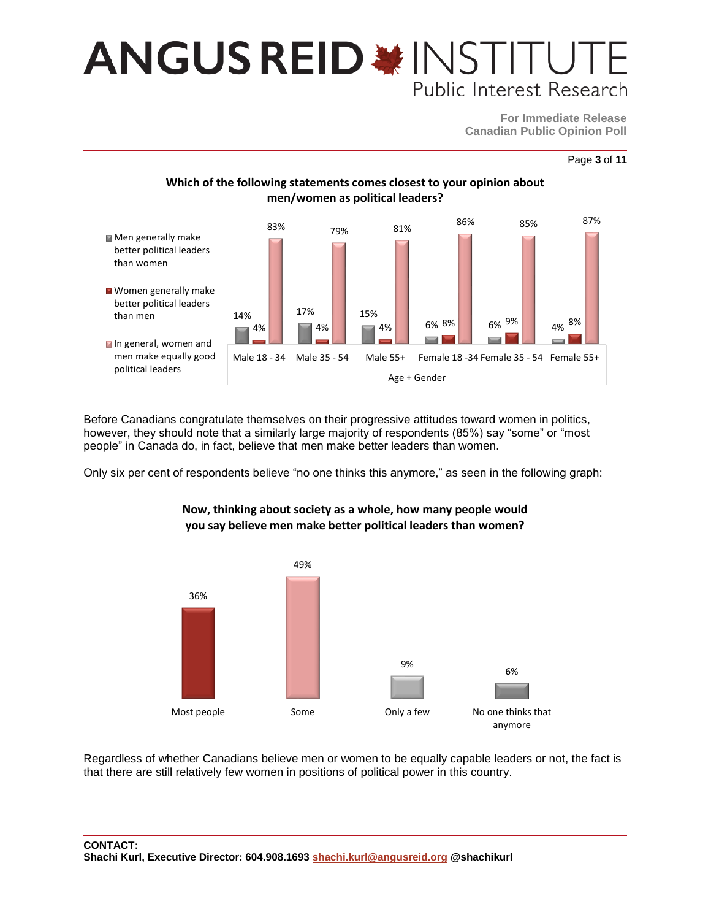**For Immediate Release Canadian Public Opinion Poll**

### **Which of the following statements comes closest to your opinion about men/women as political leaders?**



Before Canadians congratulate themselves on their progressive attitudes toward women in politics, however, they should note that a similarly large majority of respondents (85%) say "some" or "most people" in Canada do, in fact, believe that men make better leaders than women.

Only six per cent of respondents believe "no one thinks this anymore," as seen in the following graph:



#### **Now, thinking about society as a whole, how many people would you say believe men make better political leaders than women?**

Regardless of whether Canadians believe men or women to be equally capable leaders or not, the fact is that there are still relatively few women in positions of political power in this country.

Page **3** of **11**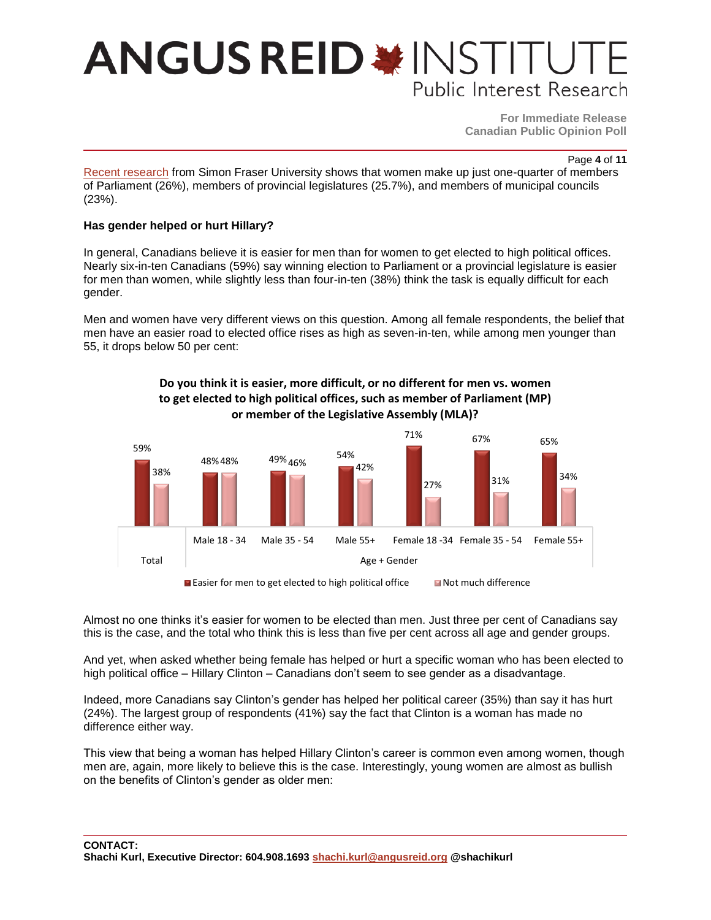**For Immediate Release Canadian Public Opinion Poll**

Page **4** of **11**

[Recent research](http://summit.sfu.ca/item/16393) from Simon Fraser University shows that women make up just one-quarter of members of Parliament (26%), members of provincial legislatures (25.7%), and members of municipal councils (23%).

#### **Has gender helped or hurt Hillary?**

In general, Canadians believe it is easier for men than for women to get elected to high political offices. Nearly six-in-ten Canadians (59%) say winning election to Parliament or a provincial legislature is easier for men than women, while slightly less than four-in-ten (38%) think the task is equally difficult for each gender.

Men and women have very different views on this question. Among all female respondents, the belief that men have an easier road to elected office rises as high as seven-in-ten, while among men younger than 55, it drops below 50 per cent:

> **Do you think it is easier, more difficult, or no different for men vs. women to get elected to high political offices, such as member of Parliament (MP)**



Easier for men to get elected to high political office Not much difference

Almost no one thinks it's easier for women to be elected than men. Just three per cent of Canadians say this is the case, and the total who think this is less than five per cent across all age and gender groups.

And yet, when asked whether being female has helped or hurt a specific woman who has been elected to high political office – Hillary Clinton – Canadians don't seem to see gender as a disadvantage.

Indeed, more Canadians say Clinton's gender has helped her political career (35%) than say it has hurt (24%). The largest group of respondents (41%) say the fact that Clinton is a woman has made no difference either way.

This view that being a woman has helped Hillary Clinton's career is common even among women, though men are, again, more likely to believe this is the case. Interestingly, young women are almost as bullish on the benefits of Clinton's gender as older men: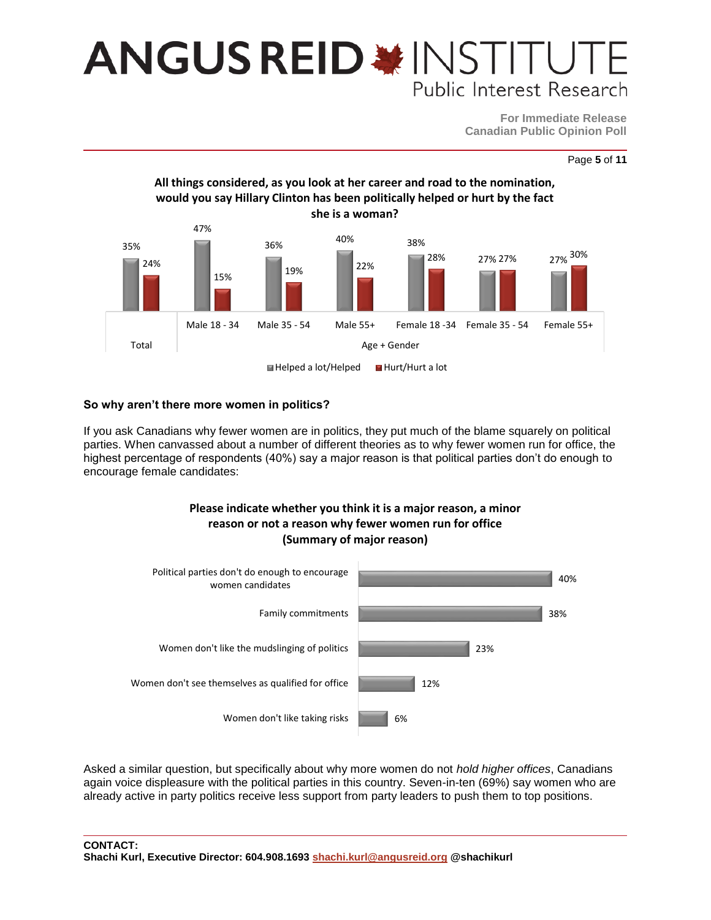**For Immediate Release Canadian Public Opinion Poll**





#### **So why aren't there more women in politics?**

If you ask Canadians why fewer women are in politics, they put much of the blame squarely on political parties. When canvassed about a number of different theories as to why fewer women run for office, the highest percentage of respondents (40%) say a major reason is that political parties don't do enough to encourage female candidates:

### **Please indicate whether you think it is a major reason, a minor reason or not a reason why fewer women run for office (Summary of major reason)**



Asked a similar question, but specifically about why more women do not *hold higher offices*, Canadians again voice displeasure with the political parties in this country. Seven-in-ten (69%) say women who are already active in party politics receive less support from party leaders to push them to top positions.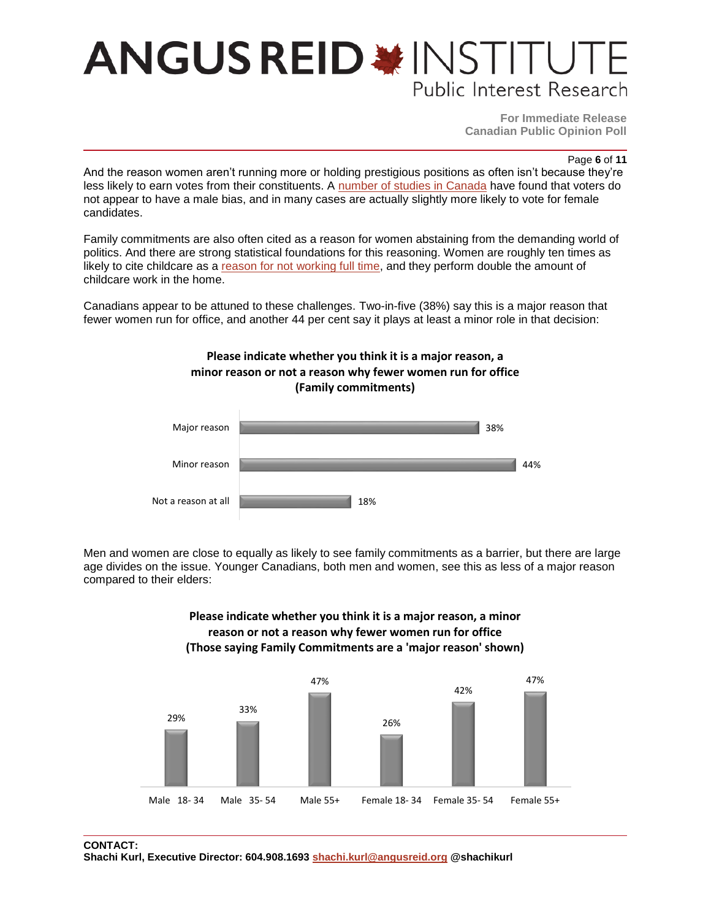**For Immediate Release Canadian Public Opinion Poll**

Page **6** of **11**

And the reason women aren't running more or holding prestigious positions as often isn't because they're less likely to earn votes from their constituents. A [number of studies in Canada](http://summit.sfu.ca/item/16393) have found that voters do not appear to have a male bias, and in many cases are actually slightly more likely to vote for female candidates.

Family commitments are also often cited as a reason for women abstaining from the demanding world of politics. And there are strong statistical foundations for this reasoning. Women are roughly ten times as likely to cite childcare as a [reason for not working full time,](http://behindthenumbers.ca/2014/09/12/where-are-all-the-women-candidates/) and they perform double the amount of childcare work in the home.

Canadians appear to be attuned to these challenges. Two-in-five (38%) say this is a major reason that fewer women run for office, and another 44 per cent say it plays at least a minor role in that decision:





Men and women are close to equally as likely to see family commitments as a barrier, but there are large age divides on the issue. Younger Canadians, both men and women, see this as less of a major reason compared to their elders:



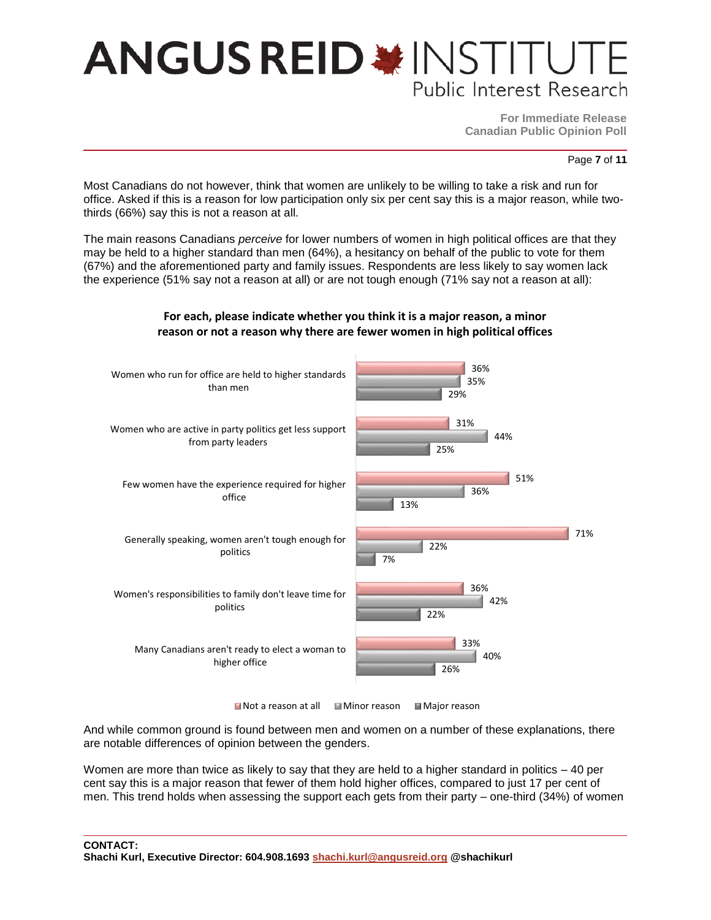**For Immediate Release Canadian Public Opinion Poll**

Page **7** of **11**

Most Canadians do not however, think that women are unlikely to be willing to take a risk and run for office. Asked if this is a reason for low participation only six per cent say this is a major reason, while twothirds (66%) say this is not a reason at all.

The main reasons Canadians *perceive* for lower numbers of women in high political offices are that they may be held to a higher standard than men (64%), a hesitancy on behalf of the public to vote for them (67%) and the aforementioned party and family issues. Respondents are less likely to say women lack the experience (51% say not a reason at all) or are not tough enough (71% say not a reason at all):



#### **For each, please indicate whether you think it is a major reason, a minor reason or not a reason why there are fewer women in high political offices**

 $\blacksquare$  Not a reason at all  $\blacksquare$  Minor reason  $\blacksquare$  Major reason

And while common ground is found between men and women on a number of these explanations, there are notable differences of opinion between the genders.

Women are more than twice as likely to say that they are held to a higher standard in politics – 40 per cent say this is a major reason that fewer of them hold higher offices, compared to just 17 per cent of men. This trend holds when assessing the support each gets from their party – one-third (34%) of women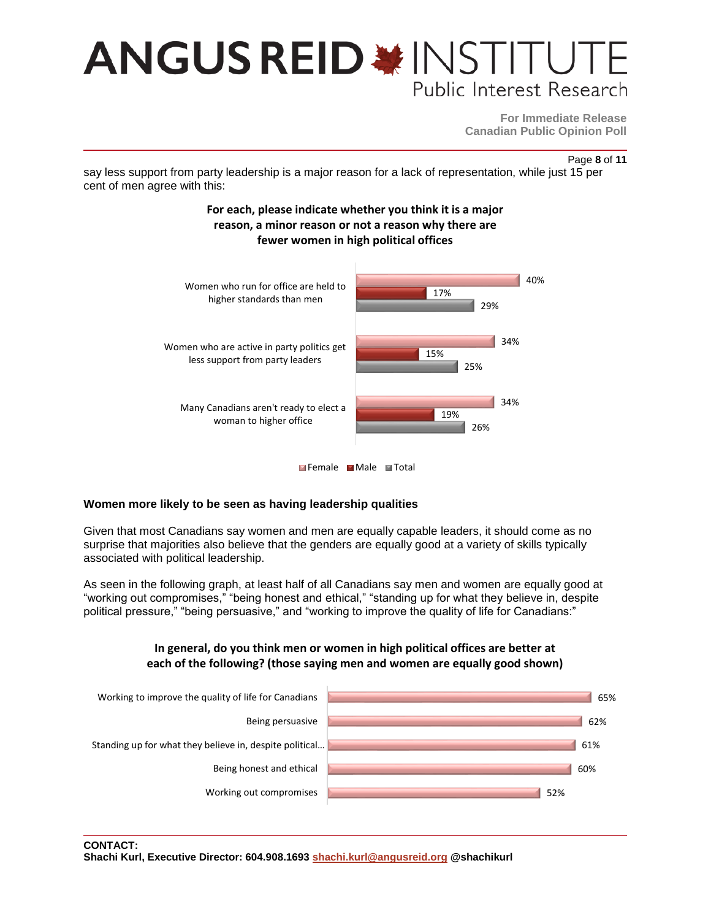**For Immediate Release Canadian Public Opinion Poll**

Page **8** of **11**

say less support from party leadership is a major reason for a lack of representation, while just 15 per cent of men agree with this:



#### **Women more likely to be seen as having leadership qualities**

Given that most Canadians say women and men are equally capable leaders, it should come as no surprise that majorities also believe that the genders are equally good at a variety of skills typically associated with political leadership.

As seen in the following graph, at least half of all Canadians say men and women are equally good at "working out compromises," "being honest and ethical," "standing up for what they believe in, despite political pressure," "being persuasive," and "working to improve the quality of life for Canadians:"



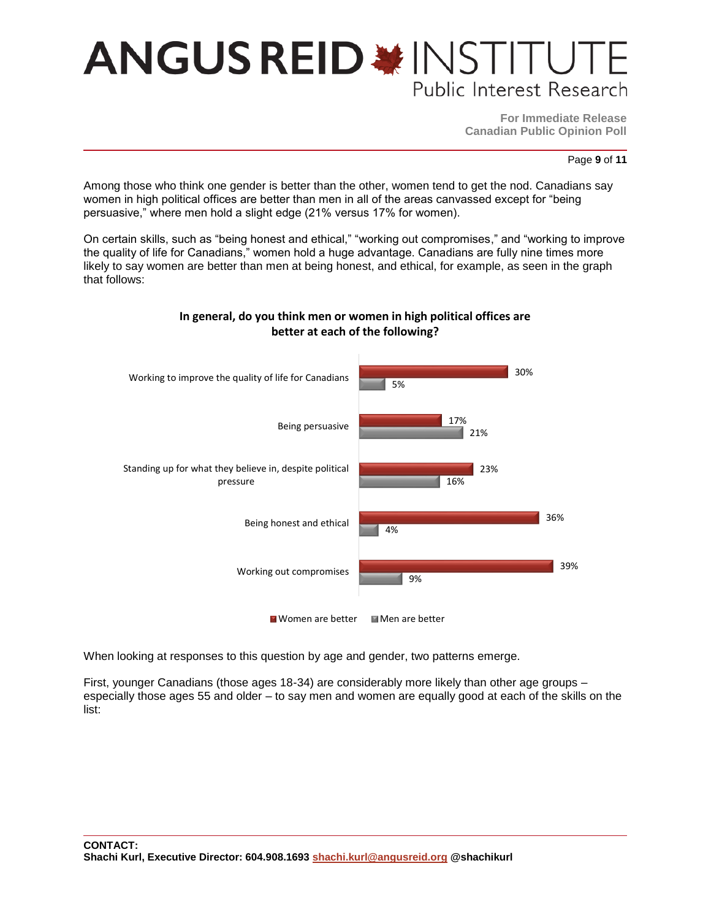**For Immediate Release Canadian Public Opinion Poll**

Page **9** of **11**

Among those who think one gender is better than the other, women tend to get the nod. Canadians say women in high political offices are better than men in all of the areas canvassed except for "being persuasive," where men hold a slight edge (21% versus 17% for women).

On certain skills, such as "being honest and ethical," "working out compromises," and "working to improve the quality of life for Canadians," women hold a huge advantage. Canadians are fully nine times more likely to say women are better than men at being honest, and ethical, for example, as seen in the graph that follows:



### **In general, do you think men or women in high political offices are better at each of the following?**

When looking at responses to this question by age and gender, two patterns emerge.

First, younger Canadians (those ages 18-34) are considerably more likely than other age groups – especially those ages 55 and older – to say men and women are equally good at each of the skills on the list: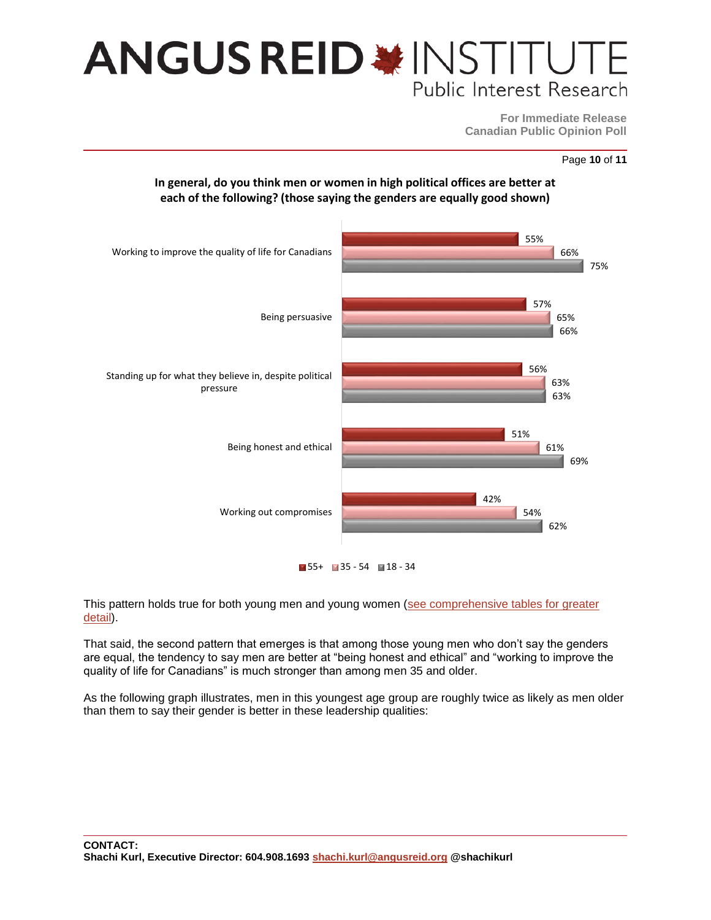**For Immediate Release Canadian Public Opinion Poll**

Page **10** of **11**





 $155+1135-54118-34$ 

This pattern holds true for both young men and young women [\(see comprehensive tables for greater](http://angusreid.org/wp-content/uploads/2016/07/2016.06.15_Women_leadershipReleaseTables.pdf)  [detail\)](http://angusreid.org/wp-content/uploads/2016/07/2016.06.15_Women_leadershipReleaseTables.pdf).

That said, the second pattern that emerges is that among those young men who don't say the genders are equal, the tendency to say men are better at "being honest and ethical" and "working to improve the quality of life for Canadians" is much stronger than among men 35 and older.

As the following graph illustrates, men in this youngest age group are roughly twice as likely as men older than them to say their gender is better in these leadership qualities: